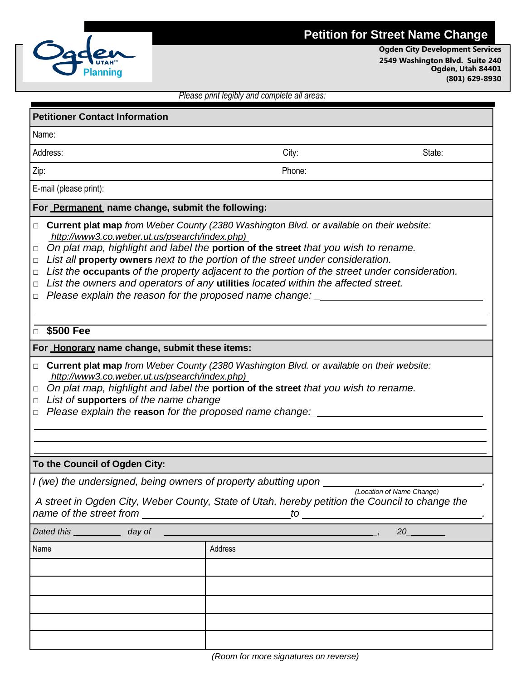



**Ogden City Development Services 2549 Washington Blvd. Suite 240 Ogden, Utah 84401 (801) 629-8930**

*Please print legibly and complete all areas:*

| <b>Petitioner Contact Information</b>                                                                                                                                                                                                                                                                                                                                                                                                                                                                                                                                                                         |         |                                                                                                                                                                                                                                                                   |
|---------------------------------------------------------------------------------------------------------------------------------------------------------------------------------------------------------------------------------------------------------------------------------------------------------------------------------------------------------------------------------------------------------------------------------------------------------------------------------------------------------------------------------------------------------------------------------------------------------------|---------|-------------------------------------------------------------------------------------------------------------------------------------------------------------------------------------------------------------------------------------------------------------------|
| Name:                                                                                                                                                                                                                                                                                                                                                                                                                                                                                                                                                                                                         |         |                                                                                                                                                                                                                                                                   |
| Address:                                                                                                                                                                                                                                                                                                                                                                                                                                                                                                                                                                                                      | City:   | State:                                                                                                                                                                                                                                                            |
| Phone:<br>Zip:                                                                                                                                                                                                                                                                                                                                                                                                                                                                                                                                                                                                |         |                                                                                                                                                                                                                                                                   |
| E-mail (please print):                                                                                                                                                                                                                                                                                                                                                                                                                                                                                                                                                                                        |         |                                                                                                                                                                                                                                                                   |
| For Permanent name change, submit the following:                                                                                                                                                                                                                                                                                                                                                                                                                                                                                                                                                              |         |                                                                                                                                                                                                                                                                   |
| Current plat map from Weber County (2380 Washington Blvd. or available on their website:<br>$\Box$<br>http://www3.co.weber.ut.us/psearch/index.php)<br>On plat map, highlight and label the portion of the street that you wish to rename.<br>□<br>List all property owners next to the portion of the street under consideration.<br>□<br>List the occupants of the property adjacent to the portion of the street under consideration.<br>$\Box$<br>List the owners and operators of any utilities located within the affected street.<br>□<br>Please explain the reason for the proposed name change:<br>□ |         |                                                                                                                                                                                                                                                                   |
| \$500 Fee<br>$\Box$                                                                                                                                                                                                                                                                                                                                                                                                                                                                                                                                                                                           |         |                                                                                                                                                                                                                                                                   |
| For Honorary name change, submit these items:                                                                                                                                                                                                                                                                                                                                                                                                                                                                                                                                                                 |         |                                                                                                                                                                                                                                                                   |
| □ Current plat map from Weber County (2380 Washington Blvd. or available on their website:<br>http://www3.co.weber.ut.us/psearch/index.php)<br>On plat map, highlight and label the portion of the street that you wish to rename.<br>□<br>List of supporters of the name change<br>$\Box$<br>Please explain the reason for the proposed name change:<br>$\Box$                                                                                                                                                                                                                                               |         |                                                                                                                                                                                                                                                                   |
| To the Council of Ogden City:                                                                                                                                                                                                                                                                                                                                                                                                                                                                                                                                                                                 |         |                                                                                                                                                                                                                                                                   |
| I (we) the undersigned, being owners of property abutting upon<br>A street in Ogden City, Weber County, State of Utah, hereby petition the Council to change the<br>Dated this day of                                                                                                                                                                                                                                                                                                                                                                                                                         |         | (Location of Name Change)<br>to the contract of the contract of the contract of the contract of the contract of the contract of the contract of the contract of the contract of the contract of the contract of the contract of the contract of the contrac<br>20 |
|                                                                                                                                                                                                                                                                                                                                                                                                                                                                                                                                                                                                               |         |                                                                                                                                                                                                                                                                   |
| Name                                                                                                                                                                                                                                                                                                                                                                                                                                                                                                                                                                                                          | Address |                                                                                                                                                                                                                                                                   |